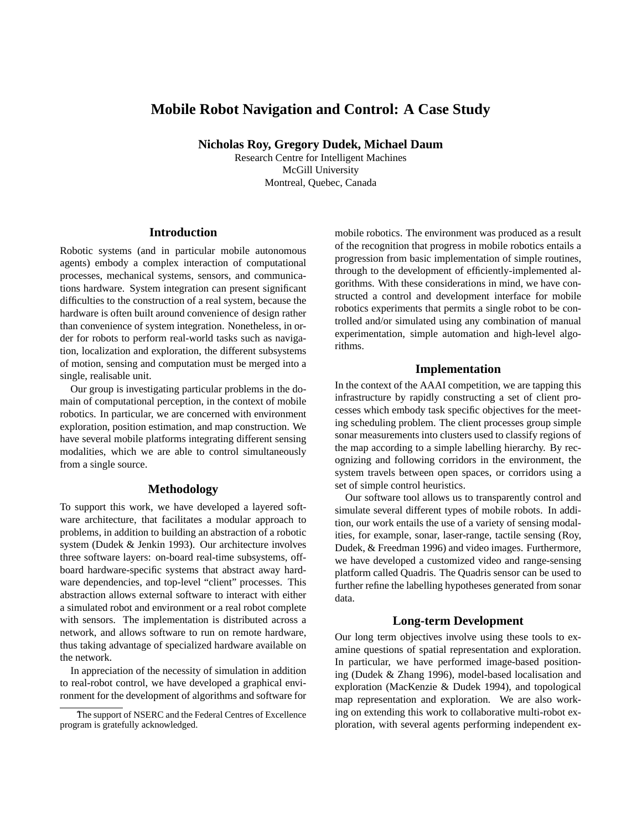# **Mobile Robot Navigation and Control: A Case Study**

**Nicholas Roy, Gregory Dudek, Michael Daum**

Research Centre for Intelligent Machines McGill University Montreal, Quebec, Canada

## **Introduction**

Robotic systems (and in particular mobile autonomous agents) embody a complex interaction of computational processes, mechanical systems, sensors, and communications hardware. System integration can present significant difficulties to the construction of a real system, because the hardware is often built around convenience of design rather than convenience of system integration. Nonetheless, in order for robots to perform real-world tasks such as navigation, localization and exploration, the different subsystems of motion, sensing and computation must be merged into a single, realisable unit.

Our group is investigating particular problems in the domain of computational perception, in the context of mobile robotics. In particular, we are concerned with environment exploration, position estimation, and map construction. We have several mobile platforms integrating different sensing modalities, which we are able to control simultaneously from a single source.

## **Methodology**

To support this work, we have developed a layered software architecture, that facilitates a modular approach to problems, in addition to building an abstraction of a robotic system (Dudek & Jenkin 1993). Our architecture involves three software layers: on-board real-time subsystems, offboard hardware-specific systems that abstract away hardware dependencies, and top-level "client" processes. This abstraction allows external software to interact with either a simulated robot and environment or a real robot complete with sensors. The implementation is distributed across a network, and allows software to run on remote hardware, thus taking advantage of specialized hardware available on the network.

In appreciation of the necessity of simulation in addition to real-robot control, we have developed a graphical environment for the development of algorithms and software for

mobile robotics. The environment was produced as a result of the recognition that progress in mobile robotics entails a progression from basic implementation of simple routines, through to the development of efficiently-implemented algorithms. With these considerations in mind, we have constructed a control and development interface for mobile robotics experiments that permits a single robot to be controlled and/or simulated using any combination of manual experimentation, simple automation and high-level algorithms.

## **Implementation**

In the context of the AAAI competition, we are tapping this infrastructure by rapidly constructing a set of client processes which embody task specific objectives for the meeting scheduling problem. The client processes group simple sonar measurements into clusters used to classify regions of the map according to a simple labelling hierarchy. By recognizing and following corridors in the environment, the system travels between open spaces, or corridors using a set of simple control heuristics.

Our software tool allows us to transparently control and simulate several different types of mobile robots. In addition, our work entails the use of a variety of sensing modalities, for example, sonar, laser-range, tactile sensing (Roy, Dudek, & Freedman 1996) and video images. Furthermore, we have developed a customized video and range-sensing platform called Quadris. The Quadris sensor can be used to further refine the labelling hypotheses generated from sonar data.

#### **Long-term Development**

Our long term objectives involve using these tools to examine questions of spatial representation and exploration. In particular, we have performed image-based positioning (Dudek & Zhang 1996), model-based localisation and exploration (MacKenzie & Dudek 1994), and topological map representation and exploration. We are also working on extending this work to collaborative multi-robot exploration, with several agents performing independent ex-

The support of NSERC and the Federal Centres of Excellence program is gratefully acknowledged.